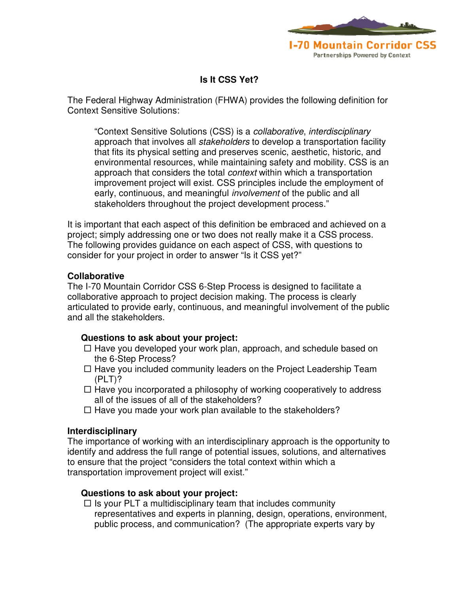

# **Is It CSS Yet?**

The Federal Highway Administration (FHWA) provides the following definition for Context Sensitive Solutions:

"Context Sensitive Solutions (CSS) is a collaborative, interdisciplinary approach that involves all *stakeholders* to develop a transportation facility that fits its physical setting and preserves scenic, aesthetic, historic, and environmental resources, while maintaining safety and mobility. CSS is an approach that considers the total *context* within which a transportation improvement project will exist. CSS principles include the employment of early, continuous, and meaningful *involvement* of the public and all stakeholders throughout the project development process."

It is important that each aspect of this definition be embraced and achieved on a project; simply addressing one or two does not really make it a CSS process. The following provides guidance on each aspect of CSS, with questions to consider for your project in order to answer "Is it CSS yet?"

### **Collaborative**

The I-70 Mountain Corridor CSS 6-Step Process is designed to facilitate a collaborative approach to project decision making. The process is clearly articulated to provide early, continuous, and meaningful involvement of the public and all the stakeholders.

# **Questions to ask about your project:**

- $\Box$  Have you developed your work plan, approach, and schedule based on the 6-Step Process?
- $\Box$  Have you included community leaders on the Project Leadership Team (PLT)?
- $\Box$  Have you incorporated a philosophy of working cooperatively to address all of the issues of all of the stakeholders?
- $\Box$  Have you made your work plan available to the stakeholders?

# **Interdisciplinary**

The importance of working with an interdisciplinary approach is the opportunity to identify and address the full range of potential issues, solutions, and alternatives to ensure that the project "considers the total context within which a transportation improvement project will exist."

#### **Questions to ask about your project:**

 $\Box$  Is your PLT a multidisciplinary team that includes community representatives and experts in planning, design, operations, environment, public process, and communication? (The appropriate experts vary by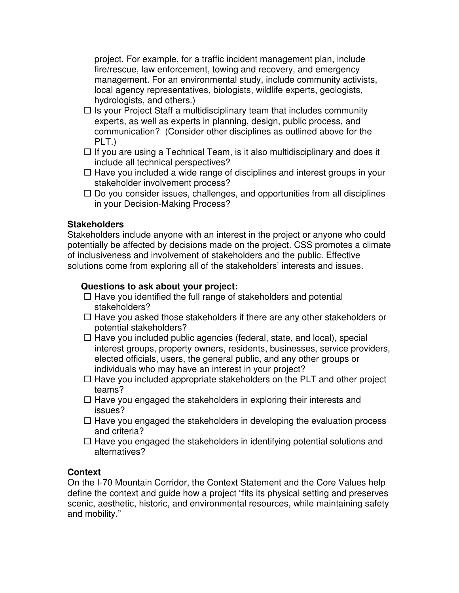project. For example, for a traffic incident management plan, include fire/rescue, law enforcement, towing and recovery, and emergency management. For an environmental study, include community activists, local agency representatives, biologists, wildlife experts, geologists, hydrologists, and others.)

- $\Box$  Is your Project Staff a multidisciplinary team that includes community experts, as well as experts in planning, design, public process, and communication? (Consider other disciplines as outlined above for the PLT.)
- $\Box$  If you are using a Technical Team, is it also multidisciplinary and does it include all technical perspectives?
- $\Box$  Have you included a wide range of disciplines and interest groups in your stakeholder involvement process?
- $\Box$  Do you consider issues, challenges, and opportunities from all disciplines in your Decision-Making Process?

### **Stakeholders**

Stakeholders include anyone with an interest in the project or anyone who could potentially be affected by decisions made on the project. CSS promotes a climate of inclusiveness and involvement of stakeholders and the public. Effective solutions come from exploring all of the stakeholders' interests and issues.

#### **Questions to ask about your project:**

- $\Box$  Have you identified the full range of stakeholders and potential stakeholders?
- $\Box$  Have you asked those stakeholders if there are any other stakeholders or potential stakeholders?
- $\Box$  Have you included public agencies (federal, state, and local), special interest groups, property owners, residents, businesses, service providers, elected officials, users, the general public, and any other groups or individuals who may have an interest in your project?
- $\Box$  Have you included appropriate stakeholders on the PLT and other project teams?
- $\Box$  Have you engaged the stakeholders in exploring their interests and issues?
- $\Box$  Have you engaged the stakeholders in developing the evaluation process and criteria?
- $\Box$  Have you engaged the stakeholders in identifying potential solutions and alternatives?

# **Context**

On the I-70 Mountain Corridor, the Context Statement and the Core Values help define the context and guide how a project "fits its physical setting and preserves scenic, aesthetic, historic, and environmental resources, while maintaining safety and mobility."